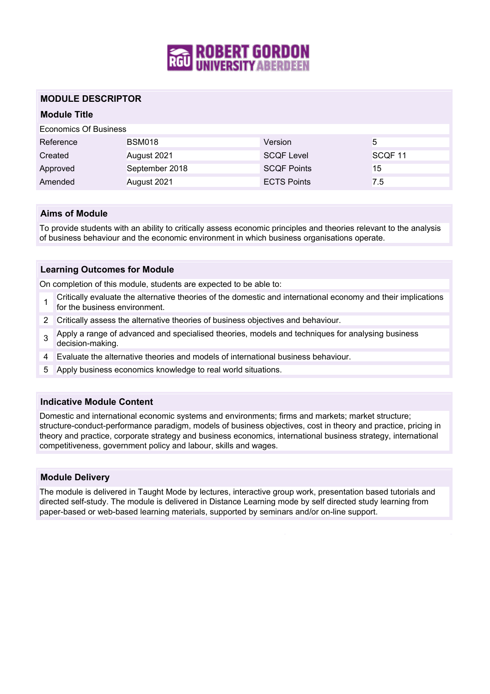

### **MODULE DESCRIPTOR**

## **Module Title**

| Economics Of Business |                |                    |                    |
|-----------------------|----------------|--------------------|--------------------|
| Reference             | <b>BSM018</b>  | Version            | 5                  |
| Created               | August 2021    | <b>SCQF Level</b>  | SCQF <sub>11</sub> |
| Approved              | September 2018 | <b>SCQF Points</b> | 15                 |
| Amended               | August 2021    | <b>ECTS Points</b> | 7.5                |

#### **Aims of Module**

To provide students with an ability to critically assess economic principles and theories relevant to the analysis of business behaviour and the economic environment in which business organisations operate.

#### **Learning Outcomes for Module**

On completion of this module, students are expected to be able to:

- 1 Critically evaluate the alternative theories of the domestic and international economy and their implications for the business environment.
- 2 Critically assess the alternative theories of business objectives and behaviour.
- 3 Apply a range of advanced and specialised theories, models and techniques for analysing business decision-making.
- 4 Evaluate the alternative theories and models of international business behaviour.
- 5 Apply business economics knowledge to real world situations.

#### **Indicative Module Content**

Domestic and international economic systems and environments; firms and markets; market structure; structure-conduct-performance paradigm, models of business objectives, cost in theory and practice, pricing in theory and practice, corporate strategy and business economics, international business strategy, international competitiveness, government policy and labour, skills and wages.

#### **Module Delivery**

The module is delivered in Taught Mode by lectures, interactive group work, presentation based tutorials and directed self-study. The module is delivered in Distance Learning mode by self directed study learning from paper-based or web-based learning materials, supported by seminars and/or on-line support.